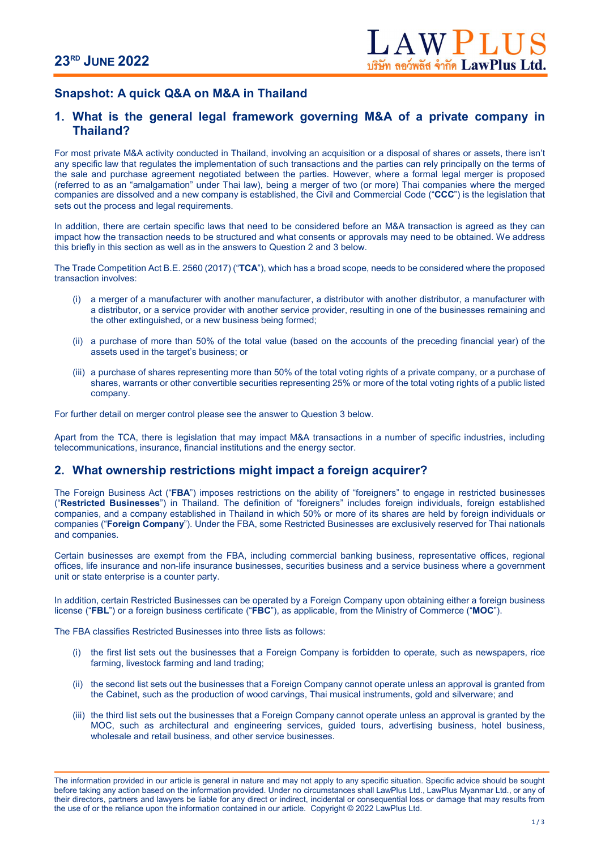# Snapshot: A quick Q&A on M&A in Thailand

## 1. What is the general legal framework governing M&A of a private company in Thailand?

For most private M&A activity conducted in Thailand, involving an acquisition or a disposal of shares or assets, there isn't any specific law that regulates the implementation of such transactions and the parties can rely principally on the terms of the sale and purchase agreement negotiated between the parties. However, where a formal legal merger is proposed (referred to as an "amalgamation" under Thai law), being a merger of two (or more) Thai companies where the merged companies are dissolved and a new company is established, the Civil and Commercial Code ("CCC") is the legislation that sets out the process and legal requirements.

In addition, there are certain specific laws that need to be considered before an M&A transaction is agreed as they can impact how the transaction needs to be structured and what consents or approvals may need to be obtained. We address this briefly in this section as well as in the answers to Question 2 and 3 below.

The Trade Competition Act B.E. 2560 (2017) ("TCA"), which has a broad scope, needs to be considered where the proposed transaction involves:

- (i) a merger of a manufacturer with another manufacturer, a distributor with another distributor, a manufacturer with a distributor, or a service provider with another service provider, resulting in one of the businesses remaining and the other extinguished, or a new business being formed;
- (ii) a purchase of more than 50% of the total value (based on the accounts of the preceding financial year) of the assets used in the target's business; or
- (iii) a purchase of shares representing more than 50% of the total voting rights of a private company, or a purchase of shares, warrants or other convertible securities representing 25% or more of the total voting rights of a public listed company.

For further detail on merger control please see the answer to Question 3 below.

Apart from the TCA, there is legislation that may impact M&A transactions in a number of specific industries, including telecommunications, insurance, financial institutions and the energy sector.

## 2. What ownership restrictions might impact a foreign acquirer?

The Foreign Business Act ("FBA") imposes restrictions on the ability of "foreigners" to engage in restricted businesses ("Restricted Businesses") in Thailand. The definition of "foreigners" includes foreign individuals, foreign established companies, and a company established in Thailand in which 50% or more of its shares are held by foreign individuals or companies ("Foreign Company"). Under the FBA, some Restricted Businesses are exclusively reserved for Thai nationals and companies.

Certain businesses are exempt from the FBA, including commercial banking business, representative offices, regional offices, life insurance and non-life insurance businesses, securities business and a service business where a government unit or state enterprise is a counter party.

In addition, certain Restricted Businesses can be operated by a Foreign Company upon obtaining either a foreign business license ("FBL") or a foreign business certificate ("FBC"), as applicable, from the Ministry of Commerce ("MOC").

The FBA classifies Restricted Businesses into three lists as follows:

- (i) the first list sets out the businesses that a Foreign Company is forbidden to operate, such as newspapers, rice farming, livestock farming and land trading;
- (ii) the second list sets out the businesses that a Foreign Company cannot operate unless an approval is granted from the Cabinet, such as the production of wood carvings, Thai musical instruments, gold and silverware; and
- (iii) the third list sets out the businesses that a Foreign Company cannot operate unless an approval is granted by the MOC, such as architectural and engineering services, guided tours, advertising business, hotel business, wholesale and retail business, and other service businesses.

The information provided in our article is general in nature and may not apply to any specific situation. Specific advice should be sought before taking any action based on the information provided. Under no circumstances shall LawPlus Ltd., LawPlus Myanmar Ltd., or any of their directors, partners and lawyers be liable for any direct or indirect, incidental or consequential loss or damage that may results from the use of or the reliance upon the information contained in our article. Copyright © 2022 LawPlus Ltd.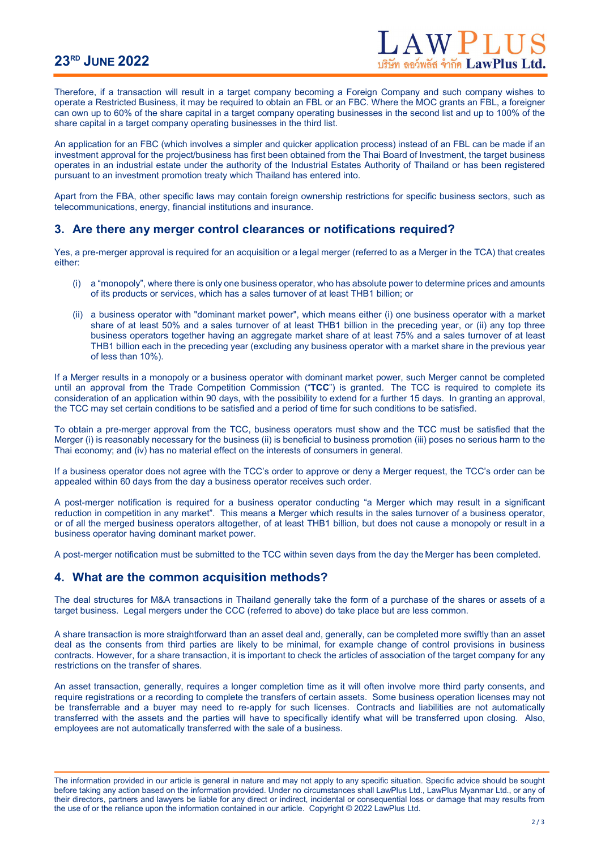# 23RD JUNE 2022

Therefore, if a transaction will result in a target company becoming a Foreign Company and such company wishes to operate a Restricted Business, it may be required to obtain an FBL or an FBC. Where the MOC grants an FBL, a foreigner can own up to 60% of the share capital in a target company operating businesses in the second list and up to 100% of the share capital in a target company operating businesses in the third list.

An application for an FBC (which involves a simpler and quicker application process) instead of an FBL can be made if an investment approval for the project/business has first been obtained from the Thai Board of Investment, the target business operates in an industrial estate under the authority of the Industrial Estates Authority of Thailand or has been registered pursuant to an investment promotion treaty which Thailand has entered into.

Apart from the FBA, other specific laws may contain foreign ownership restrictions for specific business sectors, such as telecommunications, energy, financial institutions and insurance.

#### 3. Are there any merger control clearances or notifications required?

Yes, a pre-merger approval is required for an acquisition or a legal merger (referred to as a Merger in the TCA) that creates either:

- (i) a "monopoly", where there is only one business operator, who has absolute power to determine prices and amounts of its products or services, which has a sales turnover of at least THB1 billion; or
- (ii) a business operator with "dominant market power", which means either (i) one business operator with a market share of at least 50% and a sales turnover of at least THB1 billion in the preceding year, or (ii) any top three business operators together having an aggregate market share of at least 75% and a sales turnover of at least THB1 billion each in the preceding year (excluding any business operator with a market share in the previous year of less than 10%).

If a Merger results in a monopoly or a business operator with dominant market power, such Merger cannot be completed until an approval from the Trade Competition Commission ("TCC") is granted. The TCC is required to complete its consideration of an application within 90 days, with the possibility to extend for a further 15 days. In granting an approval, the TCC may set certain conditions to be satisfied and a period of time for such conditions to be satisfied.

To obtain a pre-merger approval from the TCC, business operators must show and the TCC must be satisfied that the Merger (i) is reasonably necessary for the business (ii) is beneficial to business promotion (iii) poses no serious harm to the Thai economy; and (iv) has no material effect on the interests of consumers in general.

If a business operator does not agree with the TCC's order to approve or deny a Merger request, the TCC's order can be appealed within 60 days from the day a business operator receives such order.

A post-merger notification is required for a business operator conducting "a Merger which may result in a significant reduction in competition in any market". This means a Merger which results in the sales turnover of a business operator, or of all the merged business operators altogether, of at least THB1 billion, but does not cause a monopoly or result in a business operator having dominant market power.

A post-merger notification must be submitted to the TCC within seven days from the day the Merger has been completed.

## 4. What are the common acquisition methods?

The deal structures for M&A transactions in Thailand generally take the form of a purchase of the shares or assets of a target business. Legal mergers under the CCC (referred to above) do take place but are less common.

A share transaction is more straightforward than an asset deal and, generally, can be completed more swiftly than an asset deal as the consents from third parties are likely to be minimal, for example change of control provisions in business contracts. However, for a share transaction, it is important to check the articles of association of the target company for any restrictions on the transfer of shares.

An asset transaction, generally, requires a longer completion time as it will often involve more third party consents, and require registrations or a recording to complete the transfers of certain assets. Some business operation licenses may not be transferrable and a buyer may need to re-apply for such licenses. Contracts and liabilities are not automatically transferred with the assets and the parties will have to specifically identify what will be transferred upon closing. Also, employees are not automatically transferred with the sale of a business.

The information provided in our article is general in nature and may not apply to any specific situation. Specific advice should be sought before taking any action based on the information provided. Under no circumstances shall LawPlus Ltd., LawPlus Myanmar Ltd., or any of their directors, partners and lawyers be liable for any direct or indirect, incidental or consequential loss or damage that may results from the use of or the reliance upon the information contained in our article. Copyright © 2022 LawPlus Ltd.